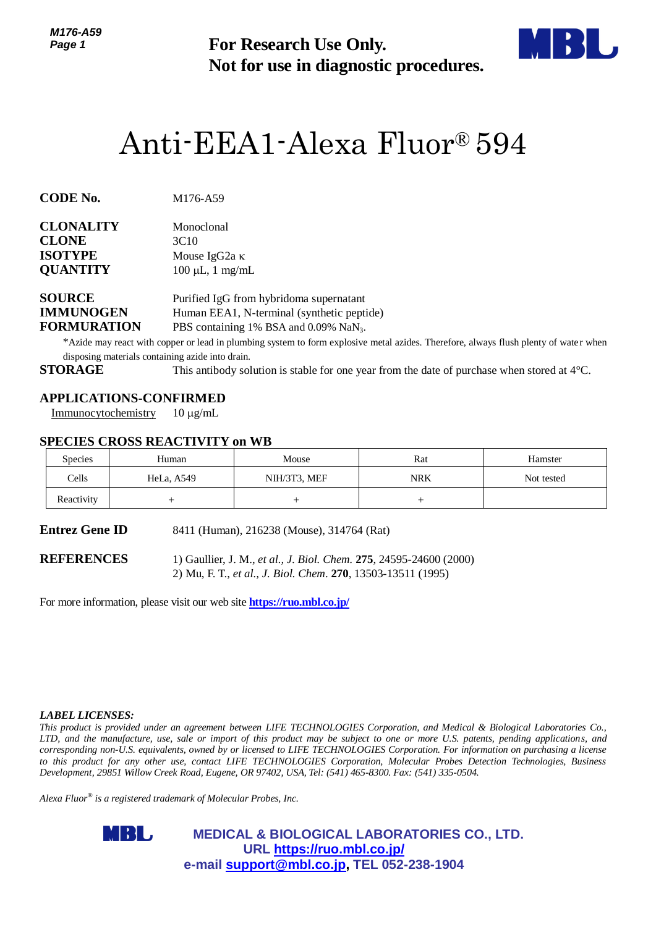*M176-A59 Page 1*



# Anti-EEA1-Alexa Fluor® 594

| <b>CLONALITY</b> | Monoclonal            |
|------------------|-----------------------|
| <b>CLONE</b>     | 3C <sub>10</sub>      |
| <b>ISOTYPE</b>   | Mouse IgG2a $\kappa$  |
| <b>QUANTITY</b>  | $100 \mu L$ , 1 mg/mL |
|                  |                       |

## **APPLICATIONS-CONFIRMED**

## **SPECIES CROSS REACTIVITY on WB**

| Page 1                                                                    |                                                                                         | <b>For Research Use Only.</b><br>Not for use in diagnostic procedures.                                                                                                                                                                               |            |                                                                                                                                                                                                                                                                                                                                                                                                                                                                                                                                           |  |
|---------------------------------------------------------------------------|-----------------------------------------------------------------------------------------|------------------------------------------------------------------------------------------------------------------------------------------------------------------------------------------------------------------------------------------------------|------------|-------------------------------------------------------------------------------------------------------------------------------------------------------------------------------------------------------------------------------------------------------------------------------------------------------------------------------------------------------------------------------------------------------------------------------------------------------------------------------------------------------------------------------------------|--|
|                                                                           |                                                                                         | Anti-EEA1-Alexa Fluor® 594                                                                                                                                                                                                                           |            |                                                                                                                                                                                                                                                                                                                                                                                                                                                                                                                                           |  |
| CODE No.                                                                  | M176-A59                                                                                |                                                                                                                                                                                                                                                      |            |                                                                                                                                                                                                                                                                                                                                                                                                                                                                                                                                           |  |
| CLONALITY<br><b>CLONE</b><br>ISOTYPE<br><b>QUANTITY</b>                   | Monoclonal<br>3C10<br>Mouse IgG <sub>2a</sub> κ<br>$100 \mu L$ , 1 mg/mL                |                                                                                                                                                                                                                                                      |            |                                                                                                                                                                                                                                                                                                                                                                                                                                                                                                                                           |  |
| <b>SOURCE</b><br><b>IMMUNOGEN</b><br><b>FORMURATION</b><br><b>STORAGE</b> | disposing materials containing azide into drain.                                        | Purified IgG from hybridoma supernatant<br>Human EEA1, N-terminal (synthetic peptide)<br>PBS containing 1% BSA and 0.09% NaN <sub>3</sub> .<br>This antibody solution is stable for one year from the date of purchase when stored at $4^{\circ}$ C. |            | *Azide may react with copper or lead in plumbing system to form explosive metal azides. Therefore, always flush plenty of water when                                                                                                                                                                                                                                                                                                                                                                                                      |  |
| Immunocytochemistry                                                       | <b>APPLICATIONS-CONFIRMED</b><br>$10 \mu g/mL$<br><b>SPECIES CROSS REACTIVITY on WB</b> |                                                                                                                                                                                                                                                      |            |                                                                                                                                                                                                                                                                                                                                                                                                                                                                                                                                           |  |
| Species                                                                   | Human                                                                                   | Mouse                                                                                                                                                                                                                                                | Rat        | Hamster                                                                                                                                                                                                                                                                                                                                                                                                                                                                                                                                   |  |
| Cells                                                                     | HeLa, A549                                                                              | NIH/3T3, MEF                                                                                                                                                                                                                                         | <b>NRK</b> | Not tested                                                                                                                                                                                                                                                                                                                                                                                                                                                                                                                                |  |
| Reactivity                                                                | $^{+}$                                                                                  | $^{+}$                                                                                                                                                                                                                                               | $^{+}$     |                                                                                                                                                                                                                                                                                                                                                                                                                                                                                                                                           |  |
| Entrez Gene ID                                                            |                                                                                         | 8411 (Human), 216238 (Mouse), 314764 (Rat)                                                                                                                                                                                                           |            |                                                                                                                                                                                                                                                                                                                                                                                                                                                                                                                                           |  |
| <b>REFERENCES</b>                                                         | For more information, please visit our web site <b>https://ruo.mbl.co.jp/</b>           | 1) Gaullier, J. M., et al., J. Biol. Chem. 275, 24595-24600 (2000)<br>2) Mu, F. T., et al., J. Biol. Chem. 270, 13503-13511 (1995)                                                                                                                   |            |                                                                                                                                                                                                                                                                                                                                                                                                                                                                                                                                           |  |
|                                                                           |                                                                                         |                                                                                                                                                                                                                                                      |            |                                                                                                                                                                                                                                                                                                                                                                                                                                                                                                                                           |  |
| <i><b>LABEL LICENSES:</b></i>                                             | Alexa Fluor $^{\circledast}$ is a registered trademark of Molecular Probes, Inc.        | Development, 29851 Willow Creek Road, Eugene, OR 97402, USA, Tel: (541) 465-8300. Fax: (541) 335-0504.                                                                                                                                               |            | This product is provided under an agreement between LIFE TECHNOLOGIES Corporation, and Medical & Biological Laboratories Co.,<br>LTD, and the manufacture, use, sale or import of this product may be subject to one or more U.S. patents, pending applications, and<br>corresponding non-U.S. equivalents, owned by or licensed to LIFE TECHNOLOGIES Corporation. For information on purchasing a license<br>to this product for any other use, contact LIFE TECHNOLOGIES Corporation, Molecular Probes Detection Technologies, Business |  |
|                                                                           |                                                                                         |                                                                                                                                                                                                                                                      |            |                                                                                                                                                                                                                                                                                                                                                                                                                                                                                                                                           |  |
|                                                                           | MBL,                                                                                    | <b>MEDICAL &amp; BIOLOGICAL LABORATORIES CO., LTD.</b><br>URL https://ruo.mbl.co.jp/                                                                                                                                                                 |            |                                                                                                                                                                                                                                                                                                                                                                                                                                                                                                                                           |  |
|                                                                           |                                                                                         | e-mail support@mbl.co.jp, TEL 052-238-1904                                                                                                                                                                                                           |            |                                                                                                                                                                                                                                                                                                                                                                                                                                                                                                                                           |  |

#### *LABEL LICENSES:*

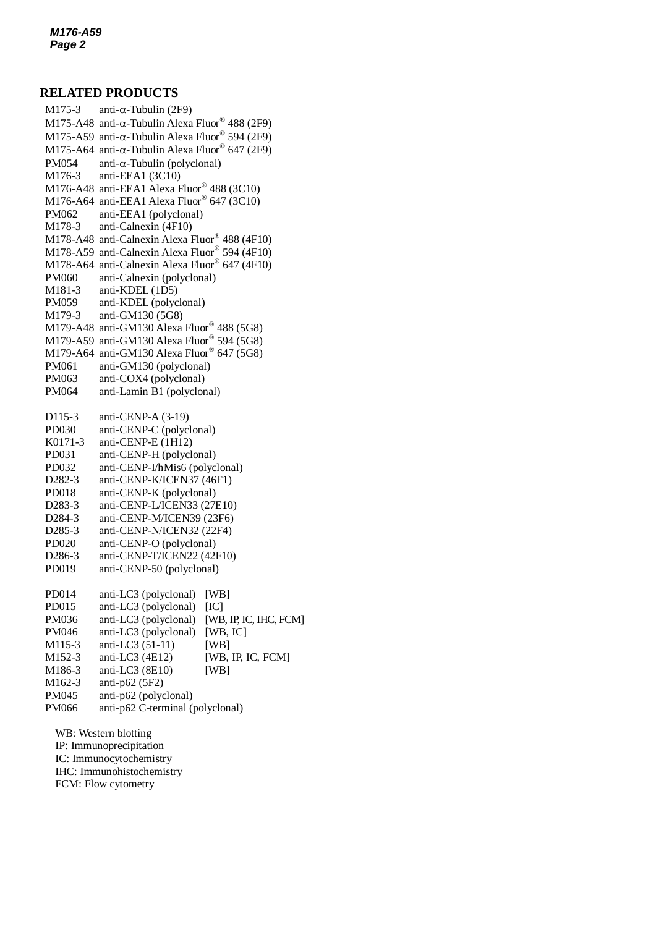## **RELATED PRODUCTS**

 $M175$ -A48 anti- $\alpha$ -Tubulin Alexa Fluor® 488 (2F9) M175-3 anti- $\alpha$ -Tubulin (2F9) M175-A59 anti- $\alpha$ -Tubulin Alexa Fluor® 594 (2F9) M175-A64 anti- $\alpha$ -Tubulin Alexa Fluor® 647 (2F9)  $PM054$  anti- $\alpha$ -Tubulin (polyclonal) M176-3 anti-EEA1 (3C10) M176-A48 anti-EEA1 Alexa Fluor® 488 (3C10) M176-A64 anti-EEA1 Alexa Fluor® 647 (3C10) PM062 anti-EEA1 (polyclonal) M178-3 anti-Calnexin (4F10) M178-A48 anti-Calnexin Alexa Fluor® 488 (4F10) M178-A59 anti-Calnexin Alexa Fluor® 594 (4F10) M178-A64 anti-Calnexin Alexa Fluor® 647 (4F10) PM060 anti-Calnexin (polyclonal) M181-3 anti-KDEL (1D5) PM059 anti-KDEL (polyclonal) M179-3 anti-GM130 (5G8) M179-A48 anti-GM130 Alexa Fluor® 488 (5G8) M179-A59 anti-GM130 Alexa Fluor® 594 (5G8) M179-A64 anti-GM130 Alexa Fluor® 647 (5G8) PM061 anti-GM130 (polyclonal) PM063 anti-COX4 (polyclonal) PM064 anti-Lamin B1 (polyclonal) D115-3 anti-CENP-A (3-19) PD030 anti-CENP-C (polyclonal) K0171-3 anti-CENP-E (1H12) PD031 anti-CENP-H (polyclonal) PD032 anti-CENP-I/hMis6 (polyclonal) D282-3 anti-CENP-K/ICEN37 (46F1) PD018 anti-CENP-K (polyclonal) D283-3 anti-CENP-L/ICEN33 (27E10) D284-3 anti-CENP-M/ICEN39 (23F6) D285-3 anti-CENP-N/ICEN32 (22F4) PD020 anti-CENP-O (polyclonal) D286-3 anti-CENP-T/ICEN22 (42F10) PD019 anti-CENP-50 (polyclonal) PD014 anti-LC3 (polyclonal) [WB] PD015 anti-LC3 (polyclonal) [IC] PM036 anti-LC3 (polyclonal) [WB, IP, IC, IHC, FCM] PM046 anti-LC3 (polyclonal) [WB, IC] M115-3 anti-LC3 (51-11) [WB] M152-3 anti-LC3 (4E12) [WB, IP, IC, FCM] M186-3 anti-LC3 (8E10) [WB] M162-3 anti-p62 (5F2) PM045 anti-p62 (polyclonal) PM066 anti-p62 C-terminal (polyclonal) WB: Western blotting IP: Immunoprecipitation

IC: Immunocytochemistry IHC: Immunohistochemistry FCM: Flow cytometry